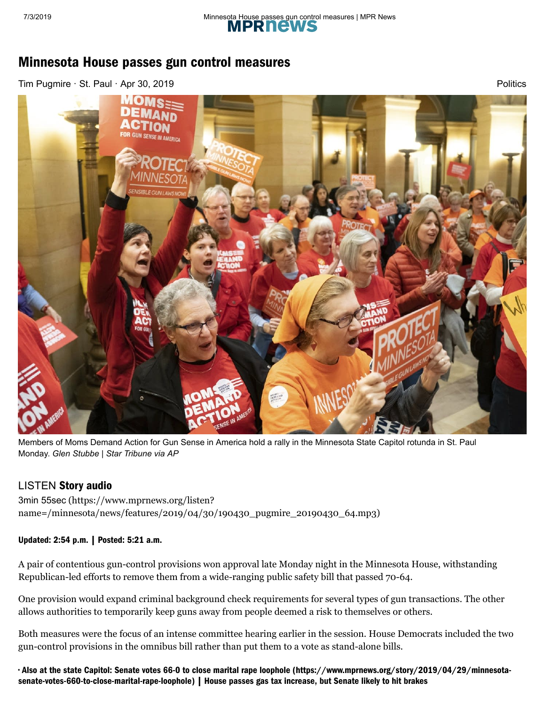

**[Politics](https://www.mprnews.org/politics)** 

# Minnesota House passes gun control measures

[Tim Pugmire](http://minnesota.publicradio.org/about/people/mpr_people_display.php?aut_id=54) · St. Paul · Apr 30, 2019



Members of Moms Demand Action for Gun Sense in America hold a rally in the Minnesota State Capitol rotunda in St. Paul Monday. *Glen Stubbe | Star Tribune via AP*

## LISTEN Story audio

3min 55sec (https://www.mprnews.org/listen? [name=/minnesota/news/features/2019/04/30/190430\\_pugmire\\_20190430\\_64.mp3\)](https://www.mprnews.org/listen?name=/minnesota/news/features/2019/04/30/190430_pugmire_20190430_64.mp3)

### Updated: 2:54 p.m. | Posted: 5:21 a.m.

A pair of contentious gun-control provisions won approval late Monday night in the Minnesota House, withstanding Republican-led efforts to remove them from a wide-ranging public safety bill that passed 70-64.

One provision would expand criminal background check requirements for several types of gun transactions. The other allows authorities to temporarily keep guns away from people deemed a risk to themselves or others.

Both measures were the focus of an intense committee hearing earlier in the session. House Democrats included the two gun-control provisions in the omnibus bill rather than put them to a vote as stand-alone bills.

https://www.mprnews.org/story/2019/04/30/minnesota-house-passes-gun-control-measures 1/3 [• Also at the state Capitol: Senate votes 66-0 to close marital rape loophole \(https://www.mprnews.org/story/2019/04/29/minnesota](https://www.mprnews.org/story/2019/04/29/minnesota-senate-votes-660-to-close-marital-rape-loophole)[senate-votes-660-to-close-marital-rape-loophole\) | House passes gas tax increase, but Senate likely to hit brakes](https://www.mprnews.org/story/2019/04/29/house-passes-gas-tax-increase-but-senate-likely-to-hit-brakes)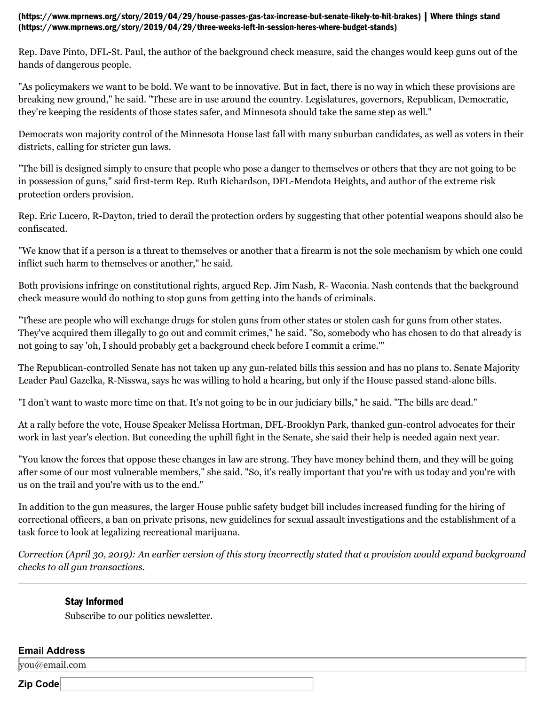#### [\(https://www.mprnews.org/story/2019/04/29/house-passes-gas-tax-increase-but-senate-likely-to-hit-brakes\)](https://www.mprnews.org/story/2019/04/29/house-passes-gas-tax-increase-but-senate-likely-to-hit-brakes) [| Where things stand](https://www.mprnews.org/story/2019/04/29/three-weeks-left-in-session-heres-where-budget-stands) (https://www.mprnews.org/story/2019/04/29/three-weeks-left-in-session-heres-where-budget-stands)

Rep. Dave Pinto, DFL-St. Paul, the author of the background check measure, said the changes would keep guns out of the hands of dangerous people.

"As policymakers we want to be bold. We want to be innovative. But in fact, there is no way in which these provisions are breaking new ground," he said. "These are in use around the country. Legislatures, governors, Republican, Democratic, they're keeping the residents of those states safer, and Minnesota should take the same step as well."

Democrats won majority control of the Minnesota House last fall with many suburban candidates, as well as voters in their districts, calling for stricter gun laws.

"The bill is designed simply to ensure that people who pose a danger to themselves or others that they are not going to be in possession of guns," said first-term Rep. Ruth Richardson, DFL-Mendota Heights, and author of the extreme risk protection orders provision.

Rep. Eric Lucero, R-Dayton, tried to derail the protection orders by suggesting that other potential weapons should also be confiscated.

"We know that if a person is a threat to themselves or another that a firearm is not the sole mechanism by which one could inflict such harm to themselves or another," he said.

Both provisions infringe on constitutional rights, argued Rep. Jim Nash, R- Waconia. Nash contends that the background check measure would do nothing to stop guns from getting into the hands of criminals.

"These are people who will exchange drugs for stolen guns from other states or stolen cash for guns from other states. They've acquired them illegally to go out and commit crimes," he said. "So, somebody who has chosen to do that already is not going to say 'oh, I should probably get a background check before I commit a crime.'"

The Republican-controlled Senate has not taken up any gun-related bills this session and has no plans to. Senate Majority Leader Paul Gazelka, R-Nisswa, says he was willing to hold a hearing, but only if the House passed stand-alone bills.

"I don't want to waste more time on that. It's not going to be in our judiciary bills," he said. "The bills are dead."

At a rally before the vote, House Speaker Melissa Hortman, DFL-Brooklyn Park, thanked gun-control advocates for their work in last year's election. But conceding the uphill fight in the Senate, she said their help is needed again next year.

"You know the forces that oppose these changes in law are strong. They have money behind them, and they will be going after some of our most vulnerable members," she said. "So, it's really important that you're with us today and you're with us on the trail and you're with us to the end."

In addition to the gun measures, the larger House public safety budget bill includes increased funding for the hiring of correctional officers, a ban on private prisons, new guidelines for sexual assault investigations and the establishment of a task force to look at legalizing recreational marijuana.

*Correction (April 30, 2019): An earlier version of this story incorrectly stated that a provision would expand background checks to all gun transactions.*

### [Stay Informed](https://www.mprnews.org/newsletter)

Subscribe to our politics newsletter.

#### **Email Address**

you@email.com

 $\frac{1}{2}$  https://www.mprovems.org/story/2019/04/30/minnesota-house-passes-gun-control-measures 2/30/30/minnesota-house-passes-gun-control-measures 2/30/30/minnesota-house-passes-gun-control-measures 2/30/30/30/30/30/30/3 **Zip Code**